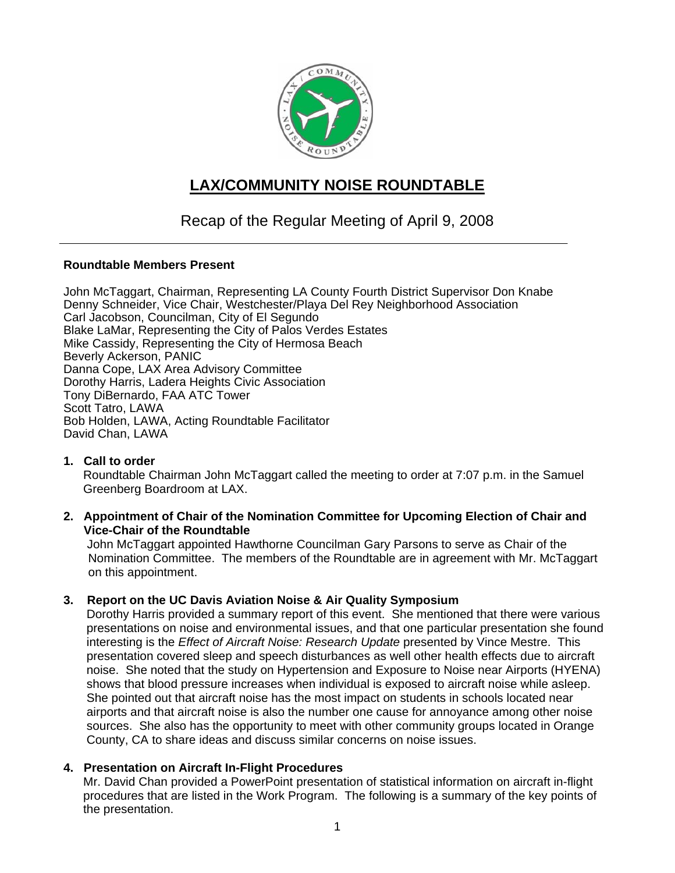

# **LAX/COMMUNITY NOISE ROUNDTABLE**

## Recap of the Regular Meeting of April 9, 2008

#### **Roundtable Members Present**

John McTaggart, Chairman, Representing LA County Fourth District Supervisor Don Knabe Denny Schneider, Vice Chair, Westchester/Playa Del Rey Neighborhood Association Carl Jacobson, Councilman, City of El Segundo Blake LaMar, Representing the City of Palos Verdes Estates Mike Cassidy, Representing the City of Hermosa Beach Beverly Ackerson, PANIC Danna Cope, LAX Area Advisory Committee Dorothy Harris, Ladera Heights Civic Association Tony DiBernardo, FAA ATC Tower Scott Tatro, LAWA Bob Holden, LAWA, Acting Roundtable Facilitator David Chan, LAWA

### **1. Call to order**

Roundtable Chairman John McTaggart called the meeting to order at 7:07 p.m. in the Samuel Greenberg Boardroom at LAX.

#### **2. Appointment of Chair of the Nomination Committee for Upcoming Election of Chair and Vice-Chair of the Roundtable**

 John McTaggart appointed Hawthorne Councilman Gary Parsons to serve as Chair of the Nomination Committee. The members of the Roundtable are in agreement with Mr. McTaggart on this appointment.

### **3. Report on the UC Davis Aviation Noise & Air Quality Symposium**

Dorothy Harris provided a summary report of this event. She mentioned that there were various presentations on noise and environmental issues, and that one particular presentation she found interesting is the *Effect of Aircraft Noise: Research Update* presented by Vince Mestre. This presentation covered sleep and speech disturbances as well other health effects due to aircraft noise. She noted that the study on Hypertension and Exposure to Noise near Airports (HYENA) shows that blood pressure increases when individual is exposed to aircraft noise while asleep. She pointed out that aircraft noise has the most impact on students in schools located near airports and that aircraft noise is also the number one cause for annoyance among other noise sources. She also has the opportunity to meet with other community groups located in Orange County, CA to share ideas and discuss similar concerns on noise issues.

### **4. Presentation on Aircraft In-Flight Procedures**

Mr. David Chan provided a PowerPoint presentation of statistical information on aircraft in-flight procedures that are listed in the Work Program. The following is a summary of the key points of the presentation.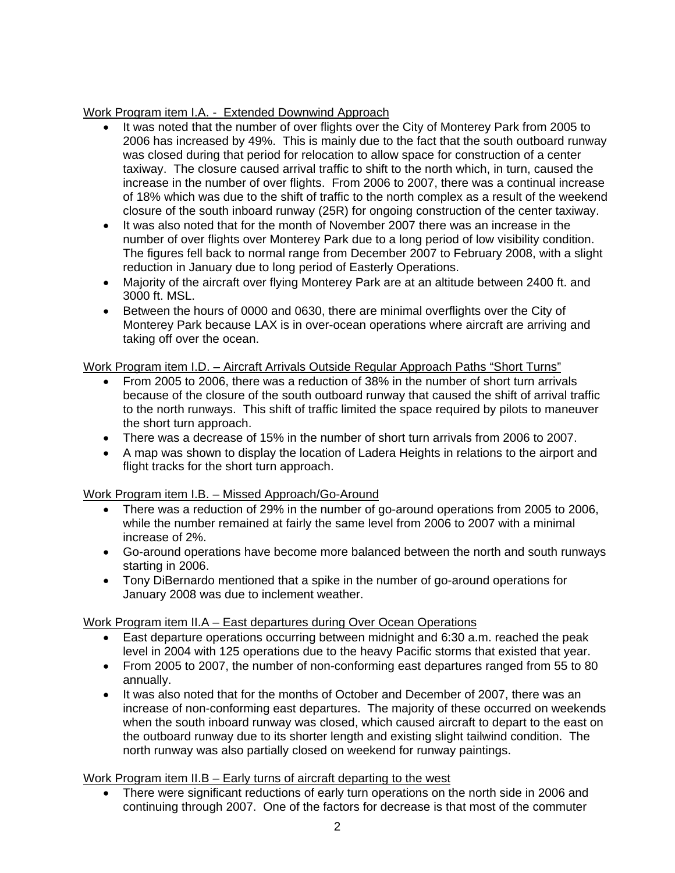### Work Program item I.A. - Extended Downwind Approach

- It was noted that the number of over flights over the City of Monterey Park from 2005 to 2006 has increased by 49%. This is mainly due to the fact that the south outboard runway was closed during that period for relocation to allow space for construction of a center taxiway. The closure caused arrival traffic to shift to the north which, in turn, caused the increase in the number of over flights. From 2006 to 2007, there was a continual increase of 18% which was due to the shift of traffic to the north complex as a result of the weekend closure of the south inboard runway (25R) for ongoing construction of the center taxiway.
- It was also noted that for the month of November 2007 there was an increase in the number of over flights over Monterey Park due to a long period of low visibility condition. The figures fell back to normal range from December 2007 to February 2008, with a slight reduction in January due to long period of Easterly Operations.
- Majority of the aircraft over flying Monterey Park are at an altitude between 2400 ft. and 3000 ft. MSL.
- Between the hours of 0000 and 0630, there are minimal overflights over the City of Monterey Park because LAX is in over-ocean operations where aircraft are arriving and taking off over the ocean.

### Work Program item I.D. – Aircraft Arrivals Outside Regular Approach Paths "Short Turns"

- From 2005 to 2006, there was a reduction of 38% in the number of short turn arrivals because of the closure of the south outboard runway that caused the shift of arrival traffic to the north runways. This shift of traffic limited the space required by pilots to maneuver the short turn approach.
- There was a decrease of 15% in the number of short turn arrivals from 2006 to 2007.
- A map was shown to display the location of Ladera Heights in relations to the airport and flight tracks for the short turn approach.

### Work Program item I.B. – Missed Approach/Go-Around

- There was a reduction of 29% in the number of go-around operations from 2005 to 2006, while the number remained at fairly the same level from 2006 to 2007 with a minimal increase of 2%.
- Go-around operations have become more balanced between the north and south runways starting in 2006.
- Tony DiBernardo mentioned that a spike in the number of go-around operations for January 2008 was due to inclement weather.

### Work Program item II.A – East departures during Over Ocean Operations

- East departure operations occurring between midnight and 6:30 a.m. reached the peak level in 2004 with 125 operations due to the heavy Pacific storms that existed that year.
- From 2005 to 2007, the number of non-conforming east departures ranged from 55 to 80 annually.
- It was also noted that for the months of October and December of 2007, there was an increase of non-conforming east departures. The majority of these occurred on weekends when the south inboard runway was closed, which caused aircraft to depart to the east on the outboard runway due to its shorter length and existing slight tailwind condition. The north runway was also partially closed on weekend for runway paintings.

### Work Program item II.B – Early turns of aircraft departing to the west

• There were significant reductions of early turn operations on the north side in 2006 and continuing through 2007. One of the factors for decrease is that most of the commuter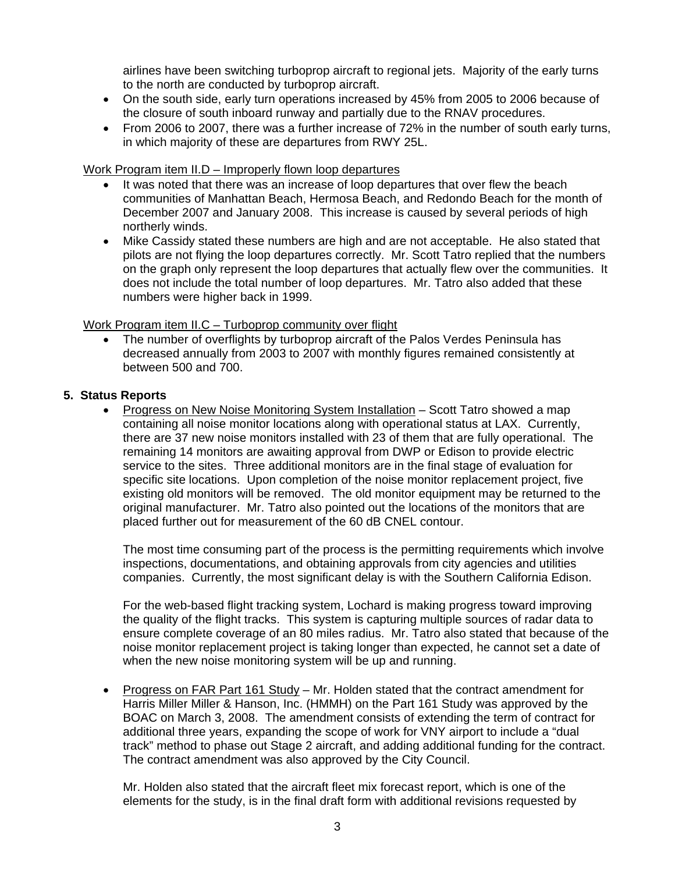airlines have been switching turboprop aircraft to regional jets. Majority of the early turns to the north are conducted by turboprop aircraft.

- On the south side, early turn operations increased by 45% from 2005 to 2006 because of the closure of south inboard runway and partially due to the RNAV procedures.
- From 2006 to 2007, there was a further increase of 72% in the number of south early turns, in which majority of these are departures from RWY 25L.

### Work Program item II.D – Improperly flown loop departures

- It was noted that there was an increase of loop departures that over flew the beach communities of Manhattan Beach, Hermosa Beach, and Redondo Beach for the month of December 2007 and January 2008. This increase is caused by several periods of high northerly winds.
- Mike Cassidy stated these numbers are high and are not acceptable. He also stated that pilots are not flying the loop departures correctly. Mr. Scott Tatro replied that the numbers on the graph only represent the loop departures that actually flew over the communities. It does not include the total number of loop departures. Mr. Tatro also added that these numbers were higher back in 1999.

### Work Program item II.C – Turboprop community over flight

The number of overflights by turboprop aircraft of the Palos Verdes Peninsula has decreased annually from 2003 to 2007 with monthly figures remained consistently at between 500 and 700.

#### **5. Status Reports**

• Progress on New Noise Monitoring System Installation – Scott Tatro showed a map containing all noise monitor locations along with operational status at LAX. Currently, there are 37 new noise monitors installed with 23 of them that are fully operational. The remaining 14 monitors are awaiting approval from DWP or Edison to provide electric service to the sites. Three additional monitors are in the final stage of evaluation for specific site locations. Upon completion of the noise monitor replacement project, five existing old monitors will be removed. The old monitor equipment may be returned to the original manufacturer. Mr. Tatro also pointed out the locations of the monitors that are placed further out for measurement of the 60 dB CNEL contour.

The most time consuming part of the process is the permitting requirements which involve inspections, documentations, and obtaining approvals from city agencies and utilities companies. Currently, the most significant delay is with the Southern California Edison.

For the web-based flight tracking system, Lochard is making progress toward improving the quality of the flight tracks. This system is capturing multiple sources of radar data to ensure complete coverage of an 80 miles radius. Mr. Tatro also stated that because of the noise monitor replacement project is taking longer than expected, he cannot set a date of when the new noise monitoring system will be up and running.

• Progress on FAR Part 161 Study – Mr. Holden stated that the contract amendment for Harris Miller Miller & Hanson, Inc. (HMMH) on the Part 161 Study was approved by the BOAC on March 3, 2008. The amendment consists of extending the term of contract for additional three years, expanding the scope of work for VNY airport to include a "dual track" method to phase out Stage 2 aircraft, and adding additional funding for the contract. The contract amendment was also approved by the City Council.

Mr. Holden also stated that the aircraft fleet mix forecast report, which is one of the elements for the study, is in the final draft form with additional revisions requested by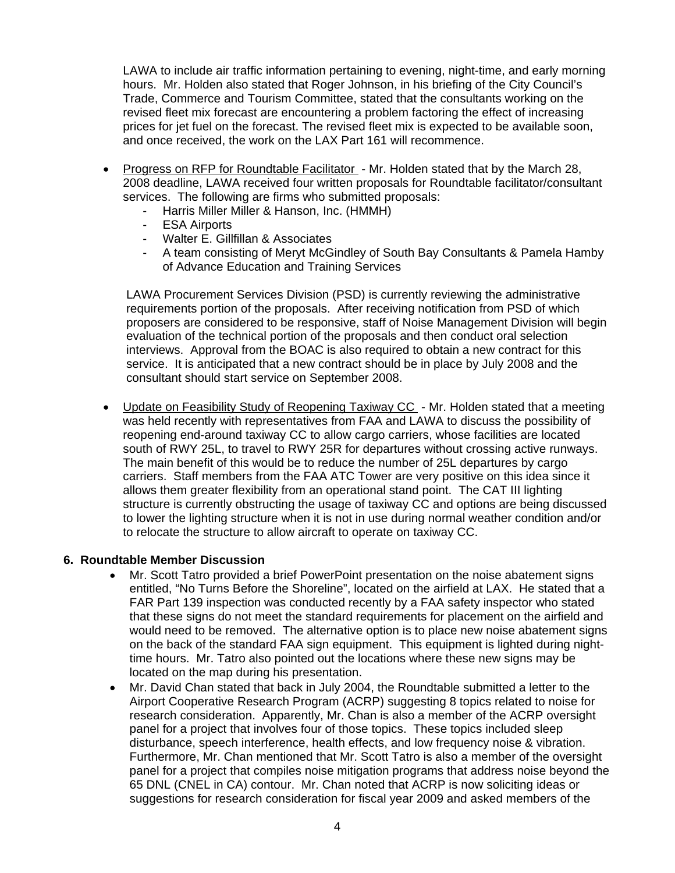LAWA to include air traffic information pertaining to evening, night-time, and early morning hours. Mr. Holden also stated that Roger Johnson, in his briefing of the City Council's Trade, Commerce and Tourism Committee, stated that the consultants working on the revised fleet mix forecast are encountering a problem factoring the effect of increasing prices for jet fuel on the forecast. The revised fleet mix is expected to be available soon, and once received, the work on the LAX Part 161 will recommence.

- Progress on RFP for Roundtable Facilitator Mr. Holden stated that by the March 28, 2008 deadline, LAWA received four written proposals for Roundtable facilitator/consultant services. The following are firms who submitted proposals:
	- Harris Miller Miller & Hanson, Inc. (HMMH)
	- **ESA Airports**
	- Walter E. Gillfillan & Associates
	- A team consisting of Meryt McGindley of South Bay Consultants & Pamela Hamby of Advance Education and Training Services

LAWA Procurement Services Division (PSD) is currently reviewing the administrative requirements portion of the proposals. After receiving notification from PSD of which proposers are considered to be responsive, staff of Noise Management Division will begin evaluation of the technical portion of the proposals and then conduct oral selection interviews. Approval from the BOAC is also required to obtain a new contract for this service. It is anticipated that a new contract should be in place by July 2008 and the consultant should start service on September 2008.

• Update on Feasibility Study of Reopening Taxiway CC - Mr. Holden stated that a meeting was held recently with representatives from FAA and LAWA to discuss the possibility of reopening end-around taxiway CC to allow cargo carriers, whose facilities are located south of RWY 25L, to travel to RWY 25R for departures without crossing active runways. The main benefit of this would be to reduce the number of 25L departures by cargo carriers. Staff members from the FAA ATC Tower are very positive on this idea since it allows them greater flexibility from an operational stand point. The CAT III lighting structure is currently obstructing the usage of taxiway CC and options are being discussed to lower the lighting structure when it is not in use during normal weather condition and/or to relocate the structure to allow aircraft to operate on taxiway CC.

#### **6. Roundtable Member Discussion**

- Mr. Scott Tatro provided a brief PowerPoint presentation on the noise abatement signs entitled, "No Turns Before the Shoreline", located on the airfield at LAX. He stated that a FAR Part 139 inspection was conducted recently by a FAA safety inspector who stated that these signs do not meet the standard requirements for placement on the airfield and would need to be removed. The alternative option is to place new noise abatement signs on the back of the standard FAA sign equipment. This equipment is lighted during nighttime hours. Mr. Tatro also pointed out the locations where these new signs may be located on the map during his presentation.
- Mr. David Chan stated that back in July 2004, the Roundtable submitted a letter to the Airport Cooperative Research Program (ACRP) suggesting 8 topics related to noise for research consideration. Apparently, Mr. Chan is also a member of the ACRP oversight panel for a project that involves four of those topics. These topics included sleep disturbance, speech interference, health effects, and low frequency noise & vibration. Furthermore, Mr. Chan mentioned that Mr. Scott Tatro is also a member of the oversight panel for a project that compiles noise mitigation programs that address noise beyond the 65 DNL (CNEL in CA) contour. Mr. Chan noted that ACRP is now soliciting ideas or suggestions for research consideration for fiscal year 2009 and asked members of the